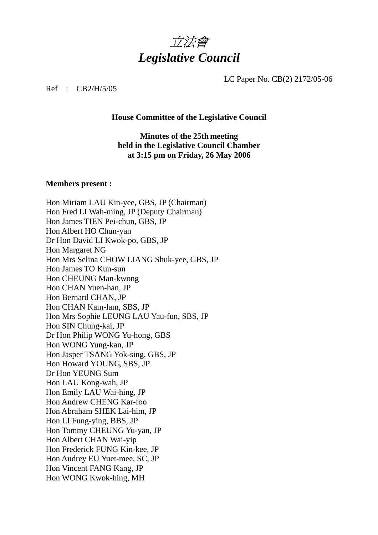

LC Paper No. CB(2) 2172/05-06

Ref : CB2/H/5/05

**House Committee of the Legislative Council** 

**Minutes of the 25th meeting held in the Legislative Council Chamber at 3:15 pm on Friday, 26 May 2006** 

### **Members present :**

Hon Miriam LAU Kin-yee, GBS, JP (Chairman) Hon Fred LI Wah-ming, JP (Deputy Chairman) Hon James TIEN Pei-chun, GBS, JP Hon Albert HO Chun-yan Dr Hon David LI Kwok-po, GBS, JP Hon Margaret NG Hon Mrs Selina CHOW LIANG Shuk-yee, GBS, JP Hon James TO Kun-sun Hon CHEUNG Man-kwong Hon CHAN Yuen-han, JP Hon Bernard CHAN, JP Hon CHAN Kam-lam, SBS, JP Hon Mrs Sophie LEUNG LAU Yau-fun, SBS, JP Hon SIN Chung-kai, JP Dr Hon Philip WONG Yu-hong, GBS Hon WONG Yung-kan, JP Hon Jasper TSANG Yok-sing, GBS, JP Hon Howard YOUNG, SBS, JP Dr Hon YEUNG Sum Hon LAU Kong-wah, JP Hon Emily LAU Wai-hing, JP Hon Andrew CHENG Kar-foo Hon Abraham SHEK Lai-him, JP Hon LI Fung-ying, BBS, JP Hon Tommy CHEUNG Yu-yan, JP Hon Albert CHAN Wai-yip Hon Frederick FUNG Kin-kee, JP Hon Audrey EU Yuet-mee, SC, JP Hon Vincent FANG Kang, JP Hon WONG Kwok-hing, MH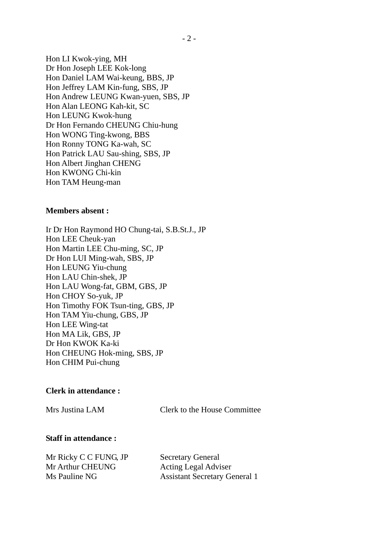Hon LI Kwok-ying, MH Dr Hon Joseph LEE Kok-long Hon Daniel LAM Wai-keung, BBS, JP Hon Jeffrey LAM Kin-fung, SBS, JP Hon Andrew LEUNG Kwan-yuen, SBS, JP Hon Alan LEONG Kah-kit, SC Hon LEUNG Kwok-hung Dr Hon Fernando CHEUNG Chiu-hung Hon WONG Ting-kwong, BBS Hon Ronny TONG Ka-wah, SC Hon Patrick LAU Sau-shing, SBS, JP Hon Albert Jinghan CHENG Hon KWONG Chi-kin Hon TAM Heung-man

### **Members absent :**

Ir Dr Hon Raymond HO Chung-tai, S.B.St.J., JP Hon LEE Cheuk-yan Hon Martin LEE Chu-ming, SC, JP Dr Hon LUI Ming-wah, SBS, JP Hon LEUNG Yiu-chung Hon LAU Chin-shek, JP Hon LAU Wong-fat, GBM, GBS, JP Hon CHOY So-yuk, JP Hon Timothy FOK Tsun-ting, GBS, JP Hon TAM Yiu-chung, GBS, JP Hon LEE Wing-tat Hon MA Lik, GBS, JP Dr Hon KWOK Ka-ki Hon CHEUNG Hok-ming, SBS, JP Hon CHIM Pui-chung

#### **Clerk in attendance :**

Mrs Justina LAM Clerk to the House Committee

### **Staff in attendance :**

Mr Ricky C C FUNG, JP Secretary General Mr Arthur CHEUNG Acting Legal Adviser

Ms Pauline NG Assistant Secretary General 1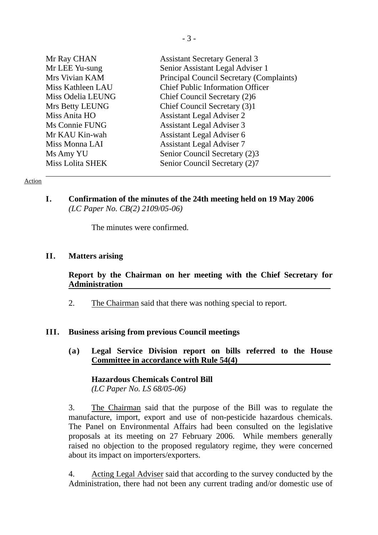| Mr Ray CHAN             | <b>Assistant Secretary General 3</b>     |
|-------------------------|------------------------------------------|
| Mr LEE Yu-sung          | Senior Assistant Legal Adviser 1         |
| Mrs Vivian KAM          | Principal Council Secretary (Complaints) |
| Miss Kathleen LAU       | <b>Chief Public Information Officer</b>  |
| Miss Odelia LEUNG       | Chief Council Secretary (2)6             |
| Mrs Betty LEUNG         | Chief Council Secretary (3)1             |
| Miss Anita HO           | <b>Assistant Legal Adviser 2</b>         |
| Ms Connie FUNG          | <b>Assistant Legal Adviser 3</b>         |
| Mr KAU Kin-wah          | Assistant Legal Adviser 6                |
| Miss Monna LAI          | <b>Assistant Legal Adviser 7</b>         |
| Ms Amy YU               | Senior Council Secretary (2)3            |
| <b>Miss Lolita SHEK</b> | Senior Council Secretary (2)7            |

### Action

**I. Confirmation of the minutes of the 24th meeting held on 19 May 2006**  *(LC Paper No. CB(2) 2109/05-06)* 

The minutes were confirmed.

### **II. Matters arising**

## **Report by the Chairman on her meeting with the Chief Secretary for Administration**

2. The Chairman said that there was nothing special to report.

### **III. Business arising from previous Council meetings**

**(a) Legal Service Division report on bills referred to the House Committee in accordance with Rule 54(4)** 

**Hazardous Chemicals Control Bill**  *(LC Paper No. LS 68/05-06)* 

3. The Chairman said that the purpose of the Bill was to regulate the manufacture, import, export and use of non-pesticide hazardous chemicals. The Panel on Environmental Affairs had been consulted on the legislative proposals at its meeting on 27 February 2006. While members generally raised no objection to the proposed regulatory regime, they were concerned about its impact on importers/exporters.

4. Acting Legal Adviser said that according to the survey conducted by the Administration, there had not been any current trading and/or domestic use of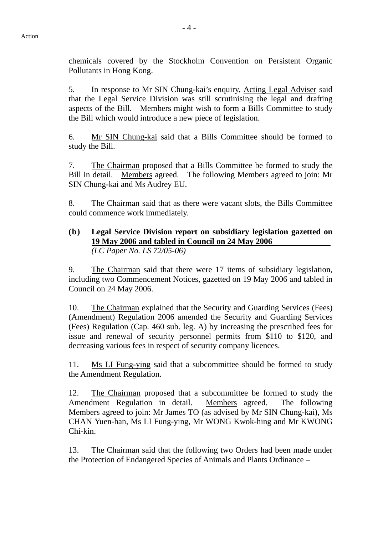chemicals covered by the Stockholm Convention on Persistent Organic Pollutants in Hong Kong.

5. In response to Mr SIN Chung-kai's enquiry, Acting Legal Adviser said that the Legal Service Division was still scrutinising the legal and drafting aspects of the Bill. Members might wish to form a Bills Committee to study the Bill which would introduce a new piece of legislation.

6. Mr SIN Chung-kai said that a Bills Committee should be formed to study the Bill.

7. The Chairman proposed that a Bills Committee be formed to study the Bill in detail. Members agreed. The following Members agreed to join: Mr SIN Chung-kai and Ms Audrey EU.

8. The Chairman said that as there were vacant slots, the Bills Committee could commence work immediately.

## **(b) Legal Service Division report on subsidiary legislation gazetted on 19 May 2006 and tabled in Council on 24 May 2006**  *(LC Paper No. LS 72/05-06)*

9. The Chairman said that there were 17 items of subsidiary legislation, including two Commencement Notices, gazetted on 19 May 2006 and tabled in Council on 24 May 2006.

10. The Chairman explained that the Security and Guarding Services (Fees) (Amendment) Regulation 2006 amended the Security and Guarding Services (Fees) Regulation (Cap. 460 sub. leg. A) by increasing the prescribed fees for issue and renewal of security personnel permits from \$110 to \$120, and decreasing various fees in respect of security company licences.

11. Ms LI Fung-ying said that a subcommittee should be formed to study the Amendment Regulation.

12. The Chairman proposed that a subcommittee be formed to study the Amendment Regulation in detail. Members agreed. The following Members agreed to join: Mr James TO (as advised by Mr SIN Chung-kai), Ms CHAN Yuen-han, Ms LI Fung-ying, Mr WONG Kwok-hing and Mr KWONG Chi-kin.

13. The Chairman said that the following two Orders had been made under the Protection of Endangered Species of Animals and Plants Ordinance –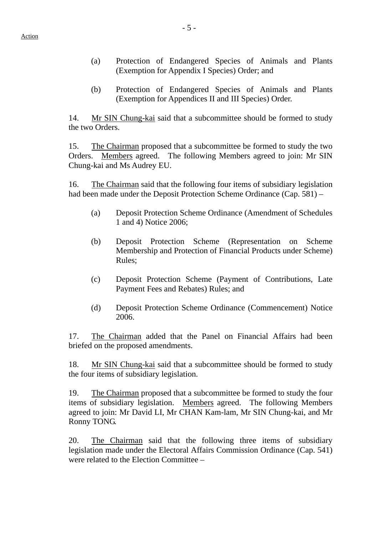- (a) Protection of Endangered Species of Animals and Plants (Exemption for Appendix I Species) Order; and
- (b) Protection of Endangered Species of Animals and Plants (Exemption for Appendices II and III Species) Order.

14. Mr SIN Chung-kai said that a subcommittee should be formed to study the two Orders.

15. The Chairman proposed that a subcommittee be formed to study the two Orders. Members agreed. The following Members agreed to join: Mr SIN Chung-kai and Ms Audrey EU.

16. The Chairman said that the following four items of subsidiary legislation had been made under the Deposit Protection Scheme Ordinance (Cap. 581) –

- (a) Deposit Protection Scheme Ordinance (Amendment of Schedules 1 and 4) Notice 2006;
- (b) Deposit Protection Scheme (Representation on Scheme Membership and Protection of Financial Products under Scheme) Rules;
- (c) Deposit Protection Scheme (Payment of Contributions, Late Payment Fees and Rebates) Rules; and
- (d) Deposit Protection Scheme Ordinance (Commencement) Notice 2006.

17. The Chairman added that the Panel on Financial Affairs had been briefed on the proposed amendments.

18. Mr SIN Chung-kai said that a subcommittee should be formed to study the four items of subsidiary legislation.

19. The Chairman proposed that a subcommittee be formed to study the four items of subsidiary legislation. Members agreed. The following Members agreed to join: Mr David LI, Mr CHAN Kam-lam, Mr SIN Chung-kai, and Mr Ronny TONG.

20. The Chairman said that the following three items of subsidiary legislation made under the Electoral Affairs Commission Ordinance (Cap. 541) were related to the Election Committee –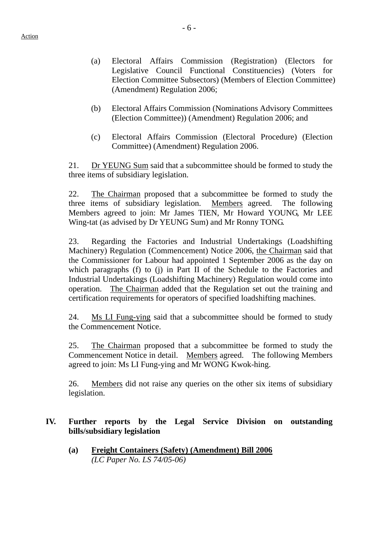- (a) Electoral Affairs Commission (Registration) (Electors for Legislative Council Functional Constituencies) (Voters for Election Committee Subsectors) (Members of Election Committee) (Amendment) Regulation 2006;
- (b) Electoral Affairs Commission (Nominations Advisory Committees (Election Committee)) (Amendment) Regulation 2006; and
- (c) Electoral Affairs Commission (Electoral Procedure) (Election Committee) (Amendment) Regulation 2006.

21. Dr YEUNG Sum said that a subcommittee should be formed to study the three items of subsidiary legislation.

22. The Chairman proposed that a subcommittee be formed to study the three items of subsidiary legislation. Members agreed. The following Members agreed to join: Mr James TIEN, Mr Howard YOUNG, Mr LEE Wing-tat (as advised by Dr YEUNG Sum) and Mr Ronny TONG.

23. Regarding the Factories and Industrial Undertakings (Loadshifting Machinery) Regulation (Commencement) Notice 2006, the Chairman said that the Commissioner for Labour had appointed 1 September 2006 as the day on which paragraphs (f) to (j) in Part II of the Schedule to the Factories and Industrial Undertakings (Loadshifting Machinery) Regulation would come into operation. The Chairman added that the Regulation set out the training and certification requirements for operators of specified loadshifting machines.

24. Ms LI Fung-ying said that a subcommittee should be formed to study the Commencement Notice.

25. The Chairman proposed that a subcommittee be formed to study the Commencement Notice in detail. Members agreed. The following Members agreed to join: Ms LI Fung-ying and Mr WONG Kwok-hing.

26. Members did not raise any queries on the other six items of subsidiary legislation.

## **IV. Further reports by the Legal Service Division on outstanding bills/subsidiary legislation**

**(a) Freight Containers (Safety) (Amendment) Bill 2006** *(LC Paper No. LS 74/05-06)*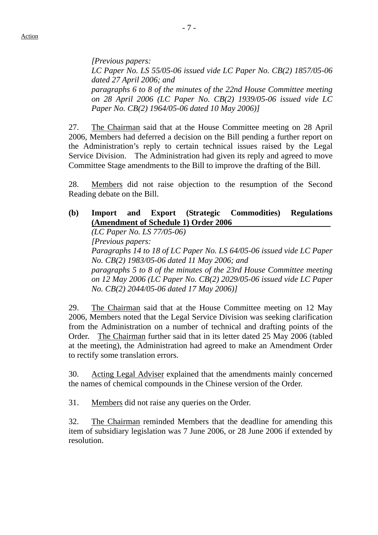*[Previous papers: LC Paper No. LS 55/05-06 issued vide LC Paper No. CB(2) 1857/05-06 dated 27 April 2006; and paragraphs 6 to 8 of the minutes of the 22nd House Committee meeting on 28 April 2006 (LC Paper No. CB(2) 1939/05-06 issued vide LC Paper No. CB(2) 1964/05-06 dated 10 May 2006)]* 

27. The Chairman said that at the House Committee meeting on 28 April 2006, Members had deferred a decision on the Bill pending a further report on the Administration's reply to certain technical issues raised by the Legal Service Division. The Administration had given its reply and agreed to move Committee Stage amendments to the Bill to improve the drafting of the Bill.

28. Members did not raise objection to the resumption of the Second Reading debate on the Bill.

## **(b) Import and Export (Strategic Commodities) Regulations (Amendment of Schedule 1) Order 2006**

*(LC Paper No. LS 77/05-06) [Previous papers: Paragraphs 14 to 18 of LC Paper No. LS 64/05-06 issued vide LC Paper No. CB(2) 1983/05-06 dated 11 May 2006; and paragraphs 5 to 8 of the minutes of the 23rd House Committee meeting on 12 May 2006 (LC Paper No. CB(2) 2029/05-06 issued vide LC Paper No. CB(2) 2044/05-06 dated 17 May 2006)]* 

29. The Chairman said that at the House Committee meeting on 12 May 2006, Members noted that the Legal Service Division was seeking clarification from the Administration on a number of technical and drafting points of the Order. The Chairman further said that in its letter dated 25 May 2006 (tabled at the meeting), the Administration had agreed to make an Amendment Order to rectify some translation errors.

30. Acting Legal Adviser explained that the amendments mainly concerned the names of chemical compounds in the Chinese version of the Order.

31. Members did not raise any queries on the Order.

32. The Chairman reminded Members that the deadline for amending this item of subsidiary legislation was 7 June 2006, or 28 June 2006 if extended by resolution.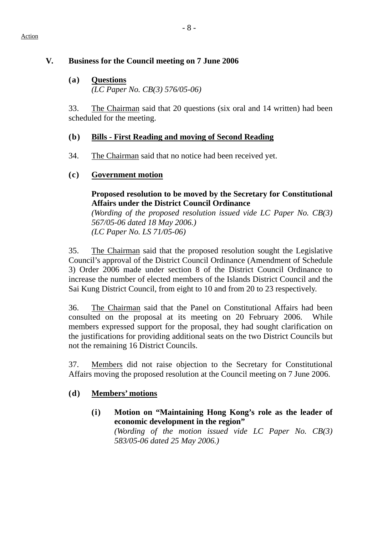#### Action

# **V. Business for the Council meeting on 7 June 2006**

**(a) Questions** *(LC Paper No. CB(3) 576/05-06)* 

33. The Chairman said that 20 questions (six oral and 14 written) had been scheduled for the meeting.

# **(b) Bills - First Reading and moving of Second Reading**

34. The Chairman said that no notice had been received yet.

# **(c) Government motion**

## **Proposed resolution to be moved by the Secretary for Constitutional Affairs under the District Council Ordinance**

*(Wording of the proposed resolution issued vide LC Paper No. CB(3) 567/05-06 dated 18 May 2006.) (LC Paper No. LS 71/05-06)*

35. The Chairman said that the proposed resolution sought the Legislative Council's approval of the District Council Ordinance (Amendment of Schedule 3) Order 2006 made under section 8 of the District Council Ordinance to increase the number of elected members of the Islands District Council and the Sai Kung District Council, from eight to 10 and from 20 to 23 respectively.

36. The Chairman said that the Panel on Constitutional Affairs had been consulted on the proposal at its meeting on 20 February 2006. While members expressed support for the proposal, they had sought clarification on the justifications for providing additional seats on the two District Councils but not the remaining 16 District Councils.

37. Members did not raise objection to the Secretary for Constitutional Affairs moving the proposed resolution at the Council meeting on 7 June 2006.

# **(d) Members' motions**

**(i) Motion on "Maintaining Hong Kong's role as the leader of economic development in the region"**  *(Wording of the motion issued vide LC Paper No. CB(3) 583/05-06 dated 25 May 2006.)*